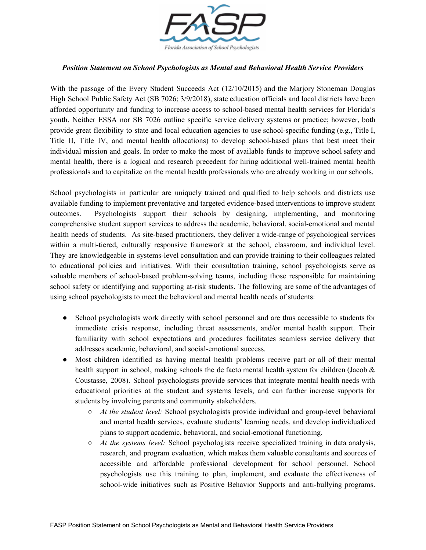

## *Position Statement on School Psychologists as Mental and Behavioral Health Service Providers*

With the passage of the Every Student Succeeds Act (12/10/2015) and the Marjory Stoneman Douglas High School Public Safety Act (SB 7026; 3/9/2018), state education officials and local districts have been afforded opportunity and funding to increase access to school-based mental health services for Florida's youth. Neither ESSA nor SB 7026 outline specific service delivery systems or practice; however, both provide great flexibility to state and local education agencies to use school-specific funding (e.g., Title I, Title II, Title IV, and mental health allocations) to develop school-based plans that best meet their individual mission and goals. In order to make the most of available funds to improve school safety and mental health, there is a logical and research precedent for hiring additional well-trained mental health professionals and to capitalize on the mental health professionals who are already working in our schools.

School psychologists in particular are uniquely trained and qualified to help schools and districts use available funding to implement preventative and targeted evidence-based interventions to improve student outcomes. Psychologists support their schools by designing, implementing, and monitoring comprehensive student support services to address the academic, behavioral, social-emotional and mental health needs of students. As site-based practitioners, they deliver a wide-range of psychological services within a multi-tiered, culturally responsive framework at the school, classroom, and individual level. They are knowledgeable in systems-level consultation and can provide training to their colleagues related to educational policies and initiatives. With their consultation training, school psychologists serve as valuable members of school-based problem-solving teams, including those responsible for maintaining school safety or identifying and supporting at-risk students. The following are some of the advantages of using school psychologists to meet the behavioral and mental health needs of students:

- School psychologists work directly with school personnel and are thus accessible to students for immediate crisis response, including threat assessments, and/or mental health support. Their familiarity with school expectations and procedures facilitates seamless service delivery that addresses academic, behavioral, and social-emotional success.
- Most children identified as having mental health problems receive part or all of their mental health support in school, making schools the de facto mental health system for children (Jacob & Coustasse, 2008). School psychologists provide services that integrate mental health needs with educational priorities at the student and systems levels, and can further increase supports for students by involving parents and community stakeholders.
	- *At the student level:* School psychologists provide individual and group-level behavioral and mental health services, evaluate students' learning needs, and develop individualized plans to support academic, behavioral, and social-emotional functioning.
	- *At the systems level:* School psychologists receive specialized training in data analysis, research, and program evaluation, which makes them valuable consultants and sources of accessible and affordable professional development for school personnel. School psychologists use this training to plan, implement, and evaluate the effectiveness of school-wide initiatives such as Positive Behavior Supports and anti-bullying programs.